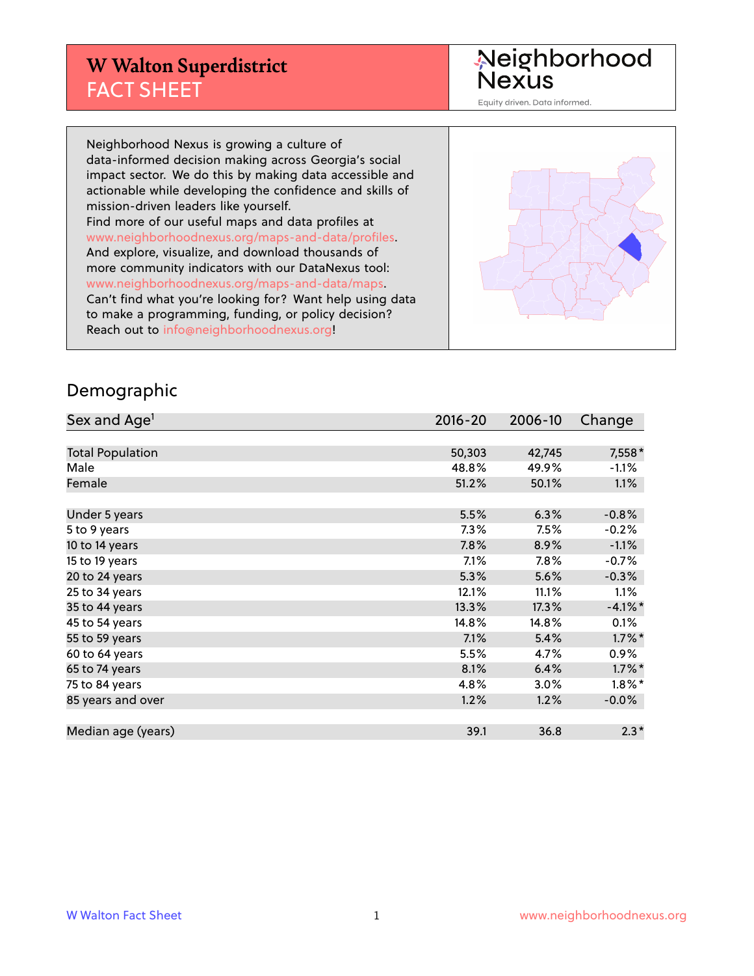#### **W Walton Superdistrict** FACT SHEET

Neighborhood<br>Nexus

Equity driven. Data informed.

Neighborhood Nexus is growing a culture of data-informed decision making across Georgia's social impact sector. We do this by making data accessible and actionable while developing the confidence and skills of mission-driven leaders like yourself. Find more of our useful maps and data profiles at www.neighborhoodnexus.org/maps-and-data/profiles. And explore, visualize, and download thousands of more community indicators with our DataNexus tool: www.neighborhoodnexus.org/maps-and-data/maps. Can't find what you're looking for? Want help using data to make a programming, funding, or policy decision? Reach out to [info@neighborhoodnexus.org!](mailto:info@neighborhoodnexus.org)



#### Demographic

| Sex and Age <sup>1</sup> | $2016 - 20$ | 2006-10 | Change    |
|--------------------------|-------------|---------|-----------|
|                          |             |         |           |
| <b>Total Population</b>  | 50,303      | 42,745  | 7,558*    |
| Male                     | 48.8%       | 49.9%   | $-1.1\%$  |
| Female                   | 51.2%       | 50.1%   | $1.1\%$   |
|                          |             |         |           |
| Under 5 years            | 5.5%        | 6.3%    | $-0.8%$   |
| 5 to 9 years             | 7.3%        | 7.5%    | $-0.2%$   |
| 10 to 14 years           | 7.8%        | 8.9%    | $-1.1%$   |
| 15 to 19 years           | 7.1%        | $7.8\%$ | $-0.7%$   |
| 20 to 24 years           | 5.3%        | 5.6%    | $-0.3%$   |
| 25 to 34 years           | 12.1%       | 11.1%   | 1.1%      |
| 35 to 44 years           | 13.3%       | 17.3%   | $-4.1%$ * |
| 45 to 54 years           | 14.8%       | 14.8%   | 0.1%      |
| 55 to 59 years           | 7.1%        | 5.4%    | $1.7\%$ * |
| 60 to 64 years           | 5.5%        | 4.7%    | $0.9\%$   |
| 65 to 74 years           | 8.1%        | 6.4%    | $1.7\%$ * |
| 75 to 84 years           | 4.8%        | 3.0%    | $1.8\%$ * |
| 85 years and over        | 1.2%        | 1.2%    | $-0.0\%$  |
|                          |             |         |           |
| Median age (years)       | 39.1        | 36.8    | $2.3*$    |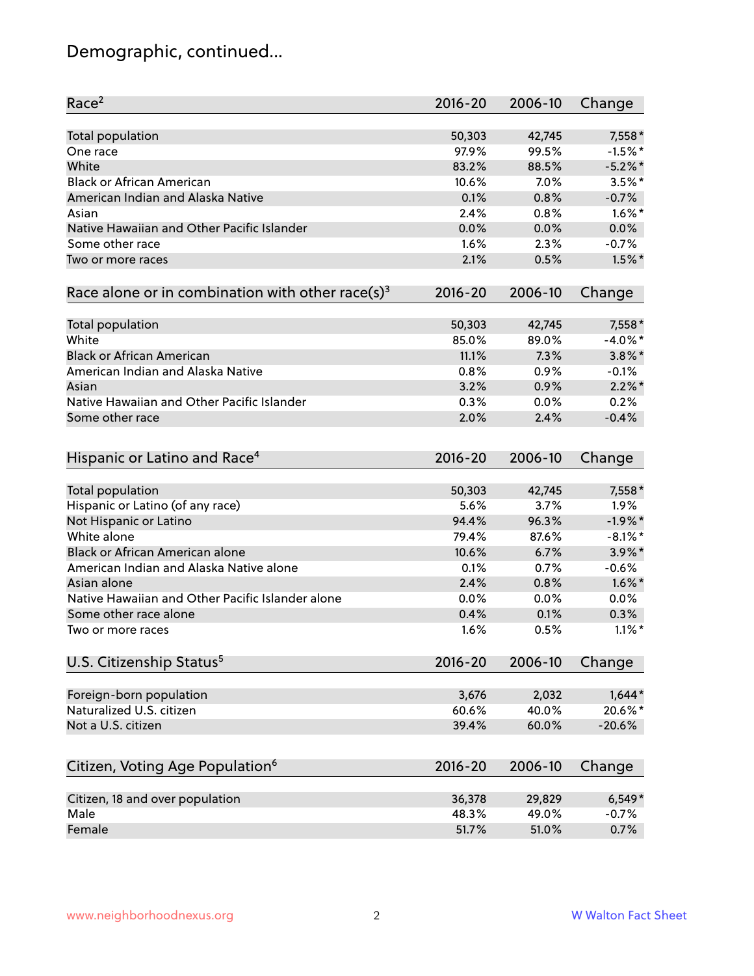# Demographic, continued...

| Race <sup>2</sup>                                            | $2016 - 20$ | 2006-10 | Change     |
|--------------------------------------------------------------|-------------|---------|------------|
| Total population                                             | 50,303      | 42,745  | 7,558*     |
| One race                                                     | 97.9%       | 99.5%   | $-1.5%$ *  |
| White                                                        | 83.2%       | 88.5%   | $-5.2\%$ * |
| <b>Black or African American</b>                             | 10.6%       | 7.0%    | $3.5%$ *   |
| American Indian and Alaska Native                            | 0.1%        | 0.8%    | $-0.7%$    |
| Asian                                                        | 2.4%        | 0.8%    | $1.6\%$ *  |
| Native Hawaiian and Other Pacific Islander                   | 0.0%        | 0.0%    | 0.0%       |
| Some other race                                              | 1.6%        | 2.3%    | $-0.7%$    |
| Two or more races                                            | 2.1%        | 0.5%    | $1.5\%$ *  |
| Race alone or in combination with other race(s) <sup>3</sup> | $2016 - 20$ | 2006-10 | Change     |
|                                                              |             |         |            |
| Total population                                             | 50,303      | 42,745  | 7,558*     |
| White                                                        | 85.0%       | 89.0%   | $-4.0\%$ * |
| <b>Black or African American</b>                             | 11.1%       | 7.3%    | $3.8\%$ *  |
| American Indian and Alaska Native                            | 0.8%        | 0.9%    | $-0.1%$    |
| Asian                                                        | 3.2%        | 0.9%    | $2.2\%$ *  |
| Native Hawaiian and Other Pacific Islander                   | 0.3%        | 0.0%    | 0.2%       |
| Some other race                                              | 2.0%        | 2.4%    | $-0.4%$    |
| Hispanic or Latino and Race <sup>4</sup>                     | $2016 - 20$ | 2006-10 | Change     |
| Total population                                             | 50,303      | 42,745  | 7,558*     |
| Hispanic or Latino (of any race)                             | 5.6%        | 3.7%    | 1.9%       |
| Not Hispanic or Latino                                       | 94.4%       | 96.3%   | $-1.9%$ *  |
| White alone                                                  | 79.4%       | 87.6%   | $-8.1\%$ * |
| Black or African American alone                              | 10.6%       | 6.7%    | $3.9\%$ *  |
| American Indian and Alaska Native alone                      | 0.1%        | 0.7%    | $-0.6%$    |
| Asian alone                                                  | 2.4%        | 0.8%    | $1.6\%$ *  |
| Native Hawaiian and Other Pacific Islander alone             | 0.0%        | 0.0%    | 0.0%       |
| Some other race alone                                        | 0.4%        | 0.1%    | 0.3%       |
| Two or more races                                            | 1.6%        | 0.5%    | $1.1\%$ *  |
| U.S. Citizenship Status <sup>5</sup>                         | $2016 - 20$ | 2006-10 | Change     |
|                                                              |             |         |            |
| Foreign-born population                                      | 3,676       | 2,032   | $1,644*$   |
| Naturalized U.S. citizen                                     | 60.6%       | 40.0%   | 20.6%*     |
| Not a U.S. citizen                                           | 39.4%       | 60.0%   | $-20.6%$   |
| Citizen, Voting Age Population <sup>6</sup>                  | $2016 - 20$ | 2006-10 | Change     |
|                                                              |             |         |            |
| Citizen, 18 and over population                              | 36,378      | 29,829  | $6,549*$   |
| Male                                                         | 48.3%       | 49.0%   | $-0.7%$    |
| Female                                                       | 51.7%       | 51.0%   | 0.7%       |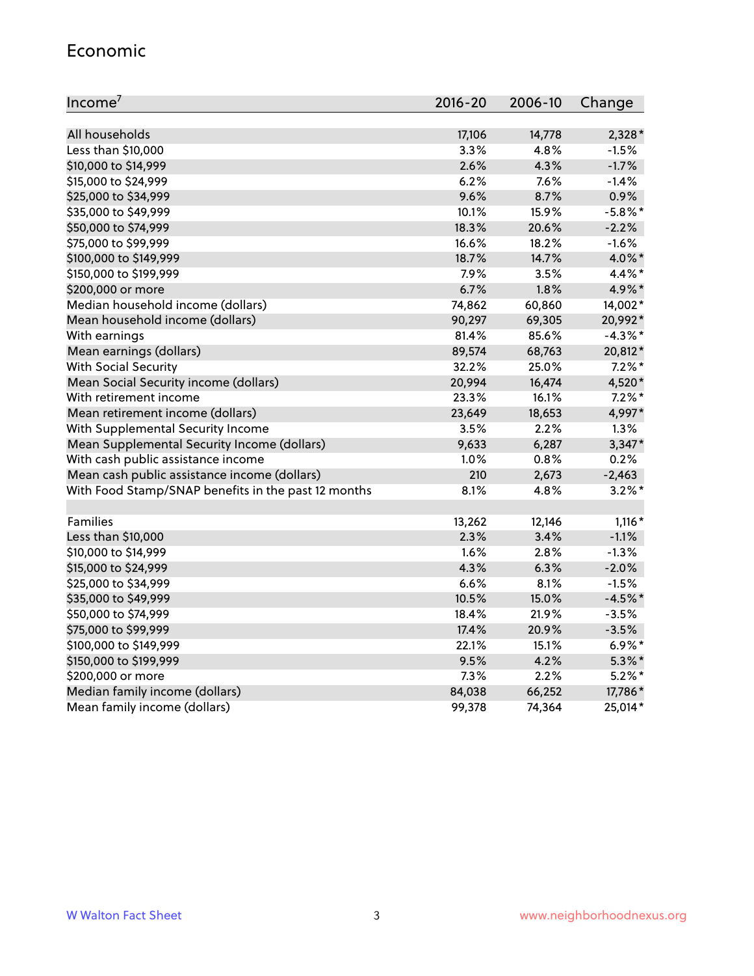#### Economic

| Income <sup>7</sup>                                 | 2016-20 | 2006-10 | Change     |
|-----------------------------------------------------|---------|---------|------------|
|                                                     |         |         |            |
| All households                                      | 17,106  | 14,778  | $2,328*$   |
| Less than \$10,000                                  | 3.3%    | 4.8%    | $-1.5%$    |
| \$10,000 to \$14,999                                | 2.6%    | 4.3%    | $-1.7%$    |
| \$15,000 to \$24,999                                | 6.2%    | 7.6%    | $-1.4%$    |
| \$25,000 to \$34,999                                | 9.6%    | 8.7%    | 0.9%       |
| \$35,000 to \$49,999                                | 10.1%   | 15.9%   | $-5.8\%$ * |
| \$50,000 to \$74,999                                | 18.3%   | 20.6%   | $-2.2%$    |
| \$75,000 to \$99,999                                | 16.6%   | 18.2%   | $-1.6%$    |
| \$100,000 to \$149,999                              | 18.7%   | 14.7%   | 4.0%*      |
| \$150,000 to \$199,999                              | 7.9%    | 3.5%    | 4.4%*      |
| \$200,000 or more                                   | 6.7%    | 1.8%    | 4.9%*      |
| Median household income (dollars)                   | 74,862  | 60,860  | 14,002*    |
| Mean household income (dollars)                     | 90,297  | 69,305  | 20,992*    |
| With earnings                                       | 81.4%   | 85.6%   | $-4.3\%$ * |
| Mean earnings (dollars)                             | 89,574  | 68,763  | 20,812*    |
| <b>With Social Security</b>                         | 32.2%   | 25.0%   | $7.2\%$ *  |
| Mean Social Security income (dollars)               | 20,994  | 16,474  | 4,520*     |
| With retirement income                              | 23.3%   | 16.1%   | $7.2\%$ *  |
| Mean retirement income (dollars)                    | 23,649  | 18,653  | 4,997*     |
| With Supplemental Security Income                   | 3.5%    | 2.2%    | 1.3%       |
| Mean Supplemental Security Income (dollars)         | 9,633   | 6,287   | $3,347*$   |
| With cash public assistance income                  | 1.0%    | 0.8%    | 0.2%       |
| Mean cash public assistance income (dollars)        | 210     | 2,673   | $-2,463$   |
| With Food Stamp/SNAP benefits in the past 12 months | 8.1%    | 4.8%    | $3.2\%$ *  |
|                                                     |         |         |            |
| Families                                            | 13,262  | 12,146  | $1,116*$   |
| Less than \$10,000                                  | 2.3%    | 3.4%    | $-1.1%$    |
| \$10,000 to \$14,999                                | 1.6%    | 2.8%    | $-1.3%$    |
| \$15,000 to \$24,999                                | 4.3%    | 6.3%    | $-2.0%$    |
| \$25,000 to \$34,999                                | 6.6%    | 8.1%    | $-1.5%$    |
| \$35,000 to \$49,999                                | 10.5%   | 15.0%   | $-4.5%$ *  |
| \$50,000 to \$74,999                                | 18.4%   | 21.9%   | $-3.5%$    |
| \$75,000 to \$99,999                                | 17.4%   | 20.9%   | $-3.5%$    |
| \$100,000 to \$149,999                              | 22.1%   | 15.1%   | $6.9\%$ *  |
| \$150,000 to \$199,999                              | 9.5%    | 4.2%    | $5.3\%$ *  |
| \$200,000 or more                                   | 7.3%    | 2.2%    | $5.2\%$ *  |
| Median family income (dollars)                      | 84,038  | 66,252  | 17,786*    |
| Mean family income (dollars)                        | 99,378  | 74,364  | 25,014*    |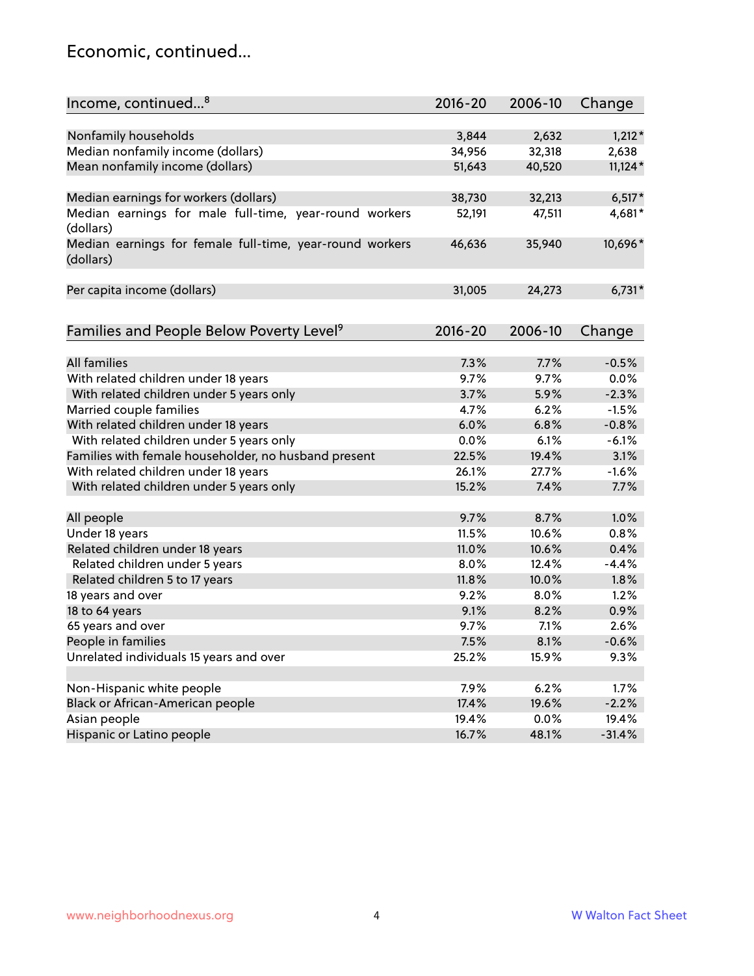#### Economic, continued...

| Income, continued <sup>8</sup>                                        | $2016 - 20$ | 2006-10 | Change    |
|-----------------------------------------------------------------------|-------------|---------|-----------|
|                                                                       |             |         |           |
| Nonfamily households                                                  | 3,844       | 2,632   | $1,212*$  |
| Median nonfamily income (dollars)                                     | 34,956      | 32,318  | 2,638     |
| Mean nonfamily income (dollars)                                       | 51,643      | 40,520  | $11,124*$ |
|                                                                       |             |         |           |
| Median earnings for workers (dollars)                                 | 38,730      | 32,213  | $6,517*$  |
| Median earnings for male full-time, year-round workers<br>(dollars)   | 52,191      | 47,511  | 4,681*    |
| Median earnings for female full-time, year-round workers<br>(dollars) | 46,636      | 35,940  | 10,696*   |
| Per capita income (dollars)                                           | 31,005      | 24,273  | $6,731*$  |
|                                                                       |             |         |           |
| Families and People Below Poverty Level <sup>9</sup>                  | $2016 - 20$ | 2006-10 | Change    |
|                                                                       |             |         |           |
| <b>All families</b>                                                   | 7.3%        | 7.7%    | $-0.5%$   |
| With related children under 18 years                                  | 9.7%        | 9.7%    | 0.0%      |
| With related children under 5 years only                              | 3.7%        | 5.9%    | $-2.3%$   |
| Married couple families                                               | 4.7%        | 6.2%    | $-1.5%$   |
| With related children under 18 years                                  | 6.0%        | 6.8%    | $-0.8%$   |
| With related children under 5 years only                              | 0.0%        | 6.1%    | $-6.1%$   |
| Families with female householder, no husband present                  | 22.5%       | 19.4%   | 3.1%      |
| With related children under 18 years                                  | 26.1%       | 27.7%   | $-1.6%$   |
| With related children under 5 years only                              | 15.2%       | 7.4%    | 7.7%      |
| All people                                                            | 9.7%        | 8.7%    | 1.0%      |
| Under 18 years                                                        | 11.5%       | 10.6%   | 0.8%      |
| Related children under 18 years                                       | 11.0%       | 10.6%   | 0.4%      |
| Related children under 5 years                                        | 8.0%        | 12.4%   | $-4.4%$   |
| Related children 5 to 17 years                                        | 11.8%       | 10.0%   | 1.8%      |
| 18 years and over                                                     | 9.2%        | 8.0%    | 1.2%      |
| 18 to 64 years                                                        | 9.1%        | 8.2%    | 0.9%      |
| 65 years and over                                                     | 9.7%        | 7.1%    | 2.6%      |
| People in families                                                    | 7.5%        | 8.1%    | $-0.6%$   |
| Unrelated individuals 15 years and over                               | 25.2%       | 15.9%   | 9.3%      |
|                                                                       |             |         |           |
| Non-Hispanic white people                                             | 7.9%        | 6.2%    | 1.7%      |
| Black or African-American people                                      | 17.4%       | 19.6%   | $-2.2%$   |
| Asian people                                                          | 19.4%       | 0.0%    | 19.4%     |
| Hispanic or Latino people                                             | 16.7%       | 48.1%   | $-31.4%$  |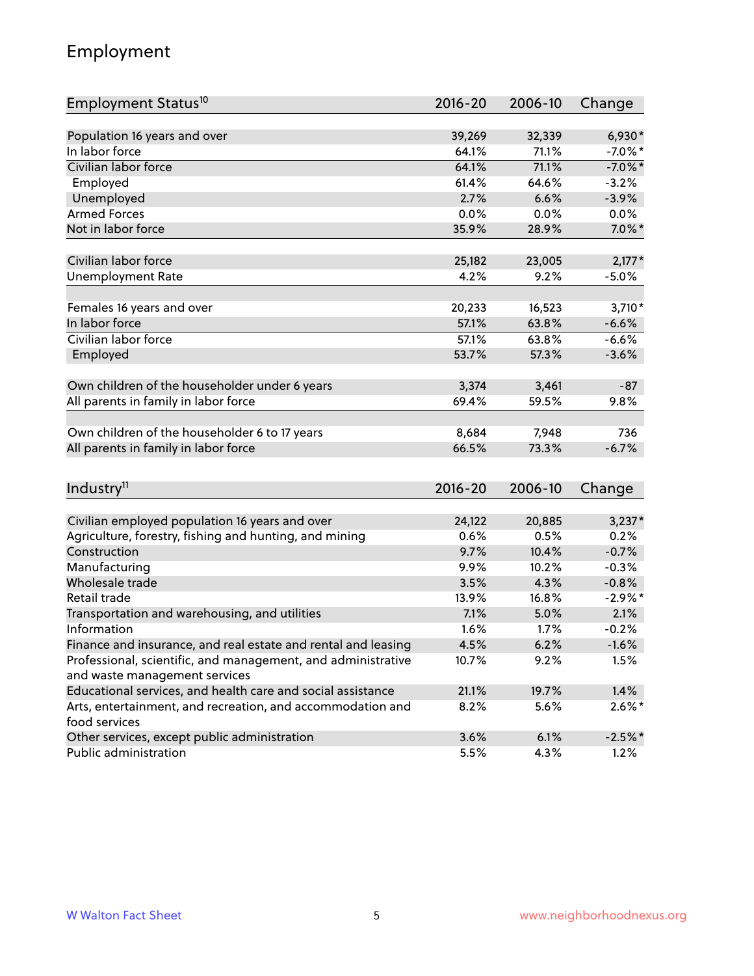## Employment

| Population 16 years and over<br>$6,930*$<br>39,269<br>32,339<br>In labor force<br>64.1%<br>71.1%<br>$-7.0\%$ *<br>Civilian labor force<br>64.1%<br>71.1%<br>$-7.0\%$ *<br>Employed<br>61.4%<br>64.6%<br>$-3.2%$<br>2.7%<br>6.6%<br>$-3.9%$<br>Unemployed<br><b>Armed Forces</b><br>0.0%<br>0.0%<br>$0.0\%$<br>Not in labor force<br>$7.0\%$ *<br>35.9%<br>28.9%<br>Civilian labor force<br>$2,177*$<br>25,182<br>23,005<br>4.2%<br>9.2%<br><b>Unemployment Rate</b><br>$-5.0%$<br>20,233<br>$3,710*$<br>Females 16 years and over<br>16,523<br>In labor force<br>57.1%<br>63.8%<br>$-6.6%$<br>Civilian labor force<br>$-6.6%$<br>57.1%<br>63.8%<br>Employed<br>53.7%<br>57.3%<br>$-3.6%$ |
|------------------------------------------------------------------------------------------------------------------------------------------------------------------------------------------------------------------------------------------------------------------------------------------------------------------------------------------------------------------------------------------------------------------------------------------------------------------------------------------------------------------------------------------------------------------------------------------------------------------------------------------------------------------------------------------|
|                                                                                                                                                                                                                                                                                                                                                                                                                                                                                                                                                                                                                                                                                          |
|                                                                                                                                                                                                                                                                                                                                                                                                                                                                                                                                                                                                                                                                                          |
|                                                                                                                                                                                                                                                                                                                                                                                                                                                                                                                                                                                                                                                                                          |
|                                                                                                                                                                                                                                                                                                                                                                                                                                                                                                                                                                                                                                                                                          |
|                                                                                                                                                                                                                                                                                                                                                                                                                                                                                                                                                                                                                                                                                          |
|                                                                                                                                                                                                                                                                                                                                                                                                                                                                                                                                                                                                                                                                                          |
|                                                                                                                                                                                                                                                                                                                                                                                                                                                                                                                                                                                                                                                                                          |
|                                                                                                                                                                                                                                                                                                                                                                                                                                                                                                                                                                                                                                                                                          |
|                                                                                                                                                                                                                                                                                                                                                                                                                                                                                                                                                                                                                                                                                          |
|                                                                                                                                                                                                                                                                                                                                                                                                                                                                                                                                                                                                                                                                                          |
|                                                                                                                                                                                                                                                                                                                                                                                                                                                                                                                                                                                                                                                                                          |
|                                                                                                                                                                                                                                                                                                                                                                                                                                                                                                                                                                                                                                                                                          |
|                                                                                                                                                                                                                                                                                                                                                                                                                                                                                                                                                                                                                                                                                          |
|                                                                                                                                                                                                                                                                                                                                                                                                                                                                                                                                                                                                                                                                                          |
|                                                                                                                                                                                                                                                                                                                                                                                                                                                                                                                                                                                                                                                                                          |
| Own children of the householder under 6 years<br>3,374<br>3,461<br>$-87$                                                                                                                                                                                                                                                                                                                                                                                                                                                                                                                                                                                                                 |
| 9.8%<br>All parents in family in labor force<br>69.4%<br>59.5%                                                                                                                                                                                                                                                                                                                                                                                                                                                                                                                                                                                                                           |
|                                                                                                                                                                                                                                                                                                                                                                                                                                                                                                                                                                                                                                                                                          |
| Own children of the householder 6 to 17 years<br>8,684<br>7,948<br>736                                                                                                                                                                                                                                                                                                                                                                                                                                                                                                                                                                                                                   |
| All parents in family in labor force<br>66.5%<br>73.3%<br>$-6.7%$                                                                                                                                                                                                                                                                                                                                                                                                                                                                                                                                                                                                                        |
|                                                                                                                                                                                                                                                                                                                                                                                                                                                                                                                                                                                                                                                                                          |
| Industry <sup>11</sup><br>$2016 - 20$<br>2006-10<br>Change                                                                                                                                                                                                                                                                                                                                                                                                                                                                                                                                                                                                                               |
|                                                                                                                                                                                                                                                                                                                                                                                                                                                                                                                                                                                                                                                                                          |
| Civilian employed population 16 years and over<br>20,885<br>$3,237*$<br>24,122                                                                                                                                                                                                                                                                                                                                                                                                                                                                                                                                                                                                           |
| Agriculture, forestry, fishing and hunting, and mining<br>0.6%<br>0.5%<br>0.2%                                                                                                                                                                                                                                                                                                                                                                                                                                                                                                                                                                                                           |
| 9.7%<br>Construction<br>10.4%<br>$-0.7%$                                                                                                                                                                                                                                                                                                                                                                                                                                                                                                                                                                                                                                                 |
| Manufacturing<br>9.9%<br>10.2%<br>$-0.3%$                                                                                                                                                                                                                                                                                                                                                                                                                                                                                                                                                                                                                                                |
| Wholesale trade<br>$-0.8%$<br>3.5%<br>4.3%                                                                                                                                                                                                                                                                                                                                                                                                                                                                                                                                                                                                                                               |
| Retail trade<br>$-2.9%$ *<br>13.9%<br>16.8%                                                                                                                                                                                                                                                                                                                                                                                                                                                                                                                                                                                                                                              |
| Transportation and warehousing, and utilities<br>7.1%<br>5.0%<br>2.1%                                                                                                                                                                                                                                                                                                                                                                                                                                                                                                                                                                                                                    |
| Information<br>1.6%<br>1.7%<br>$-0.2%$                                                                                                                                                                                                                                                                                                                                                                                                                                                                                                                                                                                                                                                   |
| Finance and insurance, and real estate and rental and leasing<br>4.5%<br>6.2%<br>$-1.6%$                                                                                                                                                                                                                                                                                                                                                                                                                                                                                                                                                                                                 |
| Professional, scientific, and management, and administrative<br>10.7%<br>9.2%<br>1.5%                                                                                                                                                                                                                                                                                                                                                                                                                                                                                                                                                                                                    |
| and waste management services                                                                                                                                                                                                                                                                                                                                                                                                                                                                                                                                                                                                                                                            |
| Educational services, and health care and social assistance<br>21.1%<br>19.7%<br>1.4%                                                                                                                                                                                                                                                                                                                                                                                                                                                                                                                                                                                                    |
| Arts, entertainment, and recreation, and accommodation and<br>$2.6\%$ *<br>8.2%<br>5.6%<br>food services                                                                                                                                                                                                                                                                                                                                                                                                                                                                                                                                                                                 |
| $-2.5%$ *<br>Other services, except public administration<br>3.6%<br>6.1%                                                                                                                                                                                                                                                                                                                                                                                                                                                                                                                                                                                                                |
| Public administration<br>5.5%<br>4.3%<br>1.2%                                                                                                                                                                                                                                                                                                                                                                                                                                                                                                                                                                                                                                            |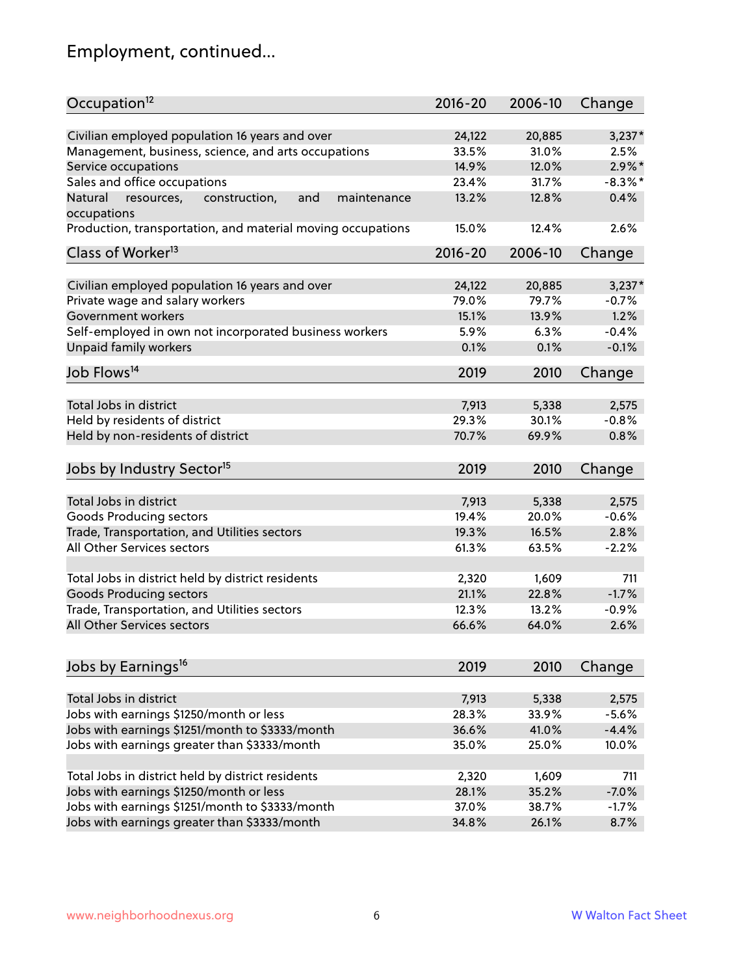# Employment, continued...

| Occupation <sup>12</sup>                                                    | $2016 - 20$ | 2006-10 | Change     |
|-----------------------------------------------------------------------------|-------------|---------|------------|
| Civilian employed population 16 years and over                              | 24,122      | 20,885  | $3,237*$   |
| Management, business, science, and arts occupations                         | 33.5%       | 31.0%   | 2.5%       |
| Service occupations                                                         | 14.9%       | 12.0%   | $2.9\%$ *  |
| Sales and office occupations                                                | 23.4%       | 31.7%   | $-8.3\%$ * |
|                                                                             |             |         | 0.4%       |
| Natural<br>and<br>resources,<br>construction,<br>maintenance<br>occupations | 13.2%       | 12.8%   |            |
| Production, transportation, and material moving occupations                 | 15.0%       | 12.4%   | 2.6%       |
| Class of Worker <sup>13</sup>                                               | $2016 - 20$ | 2006-10 | Change     |
|                                                                             |             |         |            |
| Civilian employed population 16 years and over                              | 24,122      | 20,885  | $3,237*$   |
| Private wage and salary workers                                             | 79.0%       | 79.7%   | $-0.7%$    |
| Government workers                                                          | 15.1%       | 13.9%   | 1.2%       |
| Self-employed in own not incorporated business workers                      | 5.9%        | 6.3%    | $-0.4%$    |
| Unpaid family workers                                                       | 0.1%        | 0.1%    | $-0.1%$    |
| Job Flows <sup>14</sup>                                                     | 2019        | 2010    | Change     |
|                                                                             |             |         |            |
| Total Jobs in district                                                      | 7,913       | 5,338   | 2,575      |
| Held by residents of district                                               | 29.3%       | 30.1%   | $-0.8%$    |
| Held by non-residents of district                                           | 70.7%       | 69.9%   | 0.8%       |
| Jobs by Industry Sector <sup>15</sup>                                       | 2019        | 2010    | Change     |
|                                                                             |             |         |            |
| Total Jobs in district                                                      | 7,913       | 5,338   | 2,575      |
| Goods Producing sectors                                                     | 19.4%       | 20.0%   | $-0.6%$    |
| Trade, Transportation, and Utilities sectors                                | 19.3%       | 16.5%   | 2.8%       |
| All Other Services sectors                                                  | 61.3%       | 63.5%   | $-2.2%$    |
|                                                                             |             |         |            |
| Total Jobs in district held by district residents                           | 2,320       | 1,609   | 711        |
| <b>Goods Producing sectors</b>                                              | 21.1%       | 22.8%   | $-1.7%$    |
| Trade, Transportation, and Utilities sectors                                | 12.3%       | 13.2%   | $-0.9%$    |
| All Other Services sectors                                                  | 66.6%       | 64.0%   | 2.6%       |
|                                                                             |             |         |            |
| Jobs by Earnings <sup>16</sup>                                              | 2019        | 2010    | Change     |
|                                                                             |             |         |            |
| Total Jobs in district                                                      | 7,913       | 5,338   | 2,575      |
| Jobs with earnings \$1250/month or less                                     | 28.3%       | 33.9%   | $-5.6%$    |
| Jobs with earnings \$1251/month to \$3333/month                             | 36.6%       | 41.0%   | $-4.4%$    |
| Jobs with earnings greater than \$3333/month                                | 35.0%       | 25.0%   | 10.0%      |
| Total Jobs in district held by district residents                           | 2,320       | 1,609   | 711        |
| Jobs with earnings \$1250/month or less                                     | 28.1%       | 35.2%   | $-7.0%$    |
| Jobs with earnings \$1251/month to \$3333/month                             | 37.0%       | 38.7%   | $-1.7%$    |
| Jobs with earnings greater than \$3333/month                                | 34.8%       | 26.1%   | 8.7%       |
|                                                                             |             |         |            |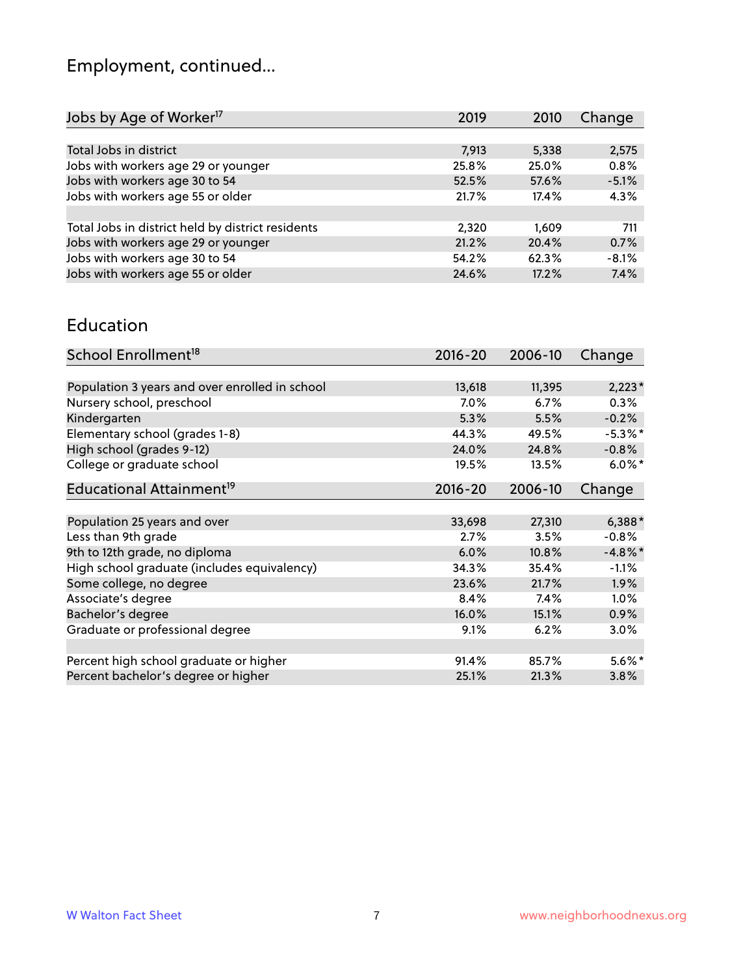# Employment, continued...

| 2019  | 2010  | Change  |
|-------|-------|---------|
|       |       |         |
| 7,913 | 5,338 | 2,575   |
| 25.8% | 25.0% | 0.8%    |
| 52.5% | 57.6% | $-5.1%$ |
| 21.7% | 17.4% | 4.3%    |
|       |       |         |
| 2,320 | 1,609 | 711     |
| 21.2% | 20.4% | 0.7%    |
| 54.2% | 62.3% | $-8.1%$ |
| 24.6% | 17.2% | 7.4%    |
|       |       |         |

#### Education

| School Enrollment <sup>18</sup>                | $2016 - 20$ | 2006-10 | Change     |
|------------------------------------------------|-------------|---------|------------|
|                                                |             |         |            |
| Population 3 years and over enrolled in school | 13,618      | 11,395  | $2,223*$   |
| Nursery school, preschool                      | 7.0%        | 6.7%    | $0.3\%$    |
| Kindergarten                                   | 5.3%        | 5.5%    | $-0.2%$    |
| Elementary school (grades 1-8)                 | 44.3%       | 49.5%   | $-5.3\%$ * |
| High school (grades 9-12)                      | 24.0%       | 24.8%   | $-0.8%$    |
| College or graduate school                     | 19.5%       | 13.5%   | $6.0\%$ *  |
| Educational Attainment <sup>19</sup>           | $2016 - 20$ | 2006-10 | Change     |
|                                                |             |         |            |
| Population 25 years and over                   | 33,698      | 27,310  | $6,388*$   |
| Less than 9th grade                            | 2.7%        | 3.5%    | $-0.8%$    |
| 9th to 12th grade, no diploma                  | 6.0%        | 10.8%   | $-4.8\%$ * |
| High school graduate (includes equivalency)    | 34.3%       | 35.4%   | $-1.1%$    |
| Some college, no degree                        | 23.6%       | 21.7%   | 1.9%       |
| Associate's degree                             | 8.4%        | 7.4%    | 1.0%       |
| Bachelor's degree                              | 16.0%       | 15.1%   | 0.9%       |
| Graduate or professional degree                | 9.1%        | 6.2%    | $3.0\%$    |
|                                                |             |         |            |
| Percent high school graduate or higher         | 91.4%       | 85.7%   | $5.6\%$ *  |
| Percent bachelor's degree or higher            | 25.1%       | 21.3%   | 3.8%       |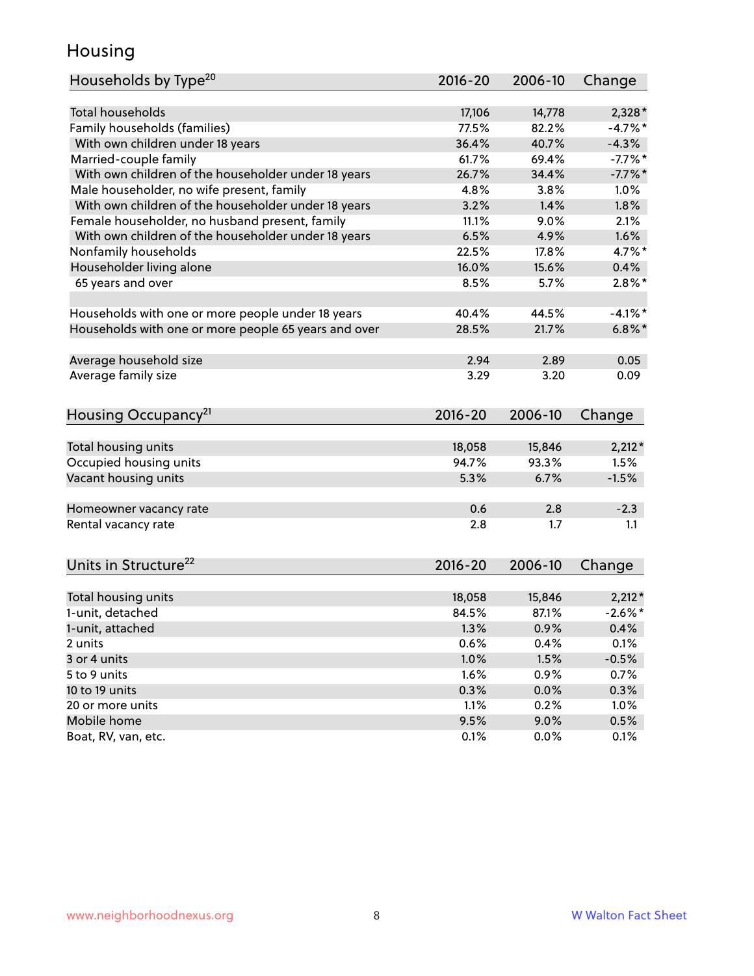#### Housing

| Households by Type <sup>20</sup>                     | 2016-20     | 2006-10 | Change     |
|------------------------------------------------------|-------------|---------|------------|
|                                                      |             |         |            |
| <b>Total households</b>                              | 17,106      | 14,778  | $2,328*$   |
| Family households (families)                         | 77.5%       | 82.2%   | $-4.7%$ *  |
| With own children under 18 years                     | 36.4%       | 40.7%   | $-4.3%$    |
| Married-couple family                                | 61.7%       | 69.4%   | $-7.7%$ *  |
| With own children of the householder under 18 years  | 26.7%       | 34.4%   | $-7.7%$ *  |
| Male householder, no wife present, family            | 4.8%        | 3.8%    | 1.0%       |
| With own children of the householder under 18 years  | 3.2%        | 1.4%    | 1.8%       |
| Female householder, no husband present, family       | 11.1%       | 9.0%    | 2.1%       |
| With own children of the householder under 18 years  | 6.5%        | 4.9%    | 1.6%       |
| Nonfamily households                                 | 22.5%       | 17.8%   | 4.7%*      |
| Householder living alone                             | 16.0%       | 15.6%   | 0.4%       |
| 65 years and over                                    | 8.5%        | 5.7%    | $2.8\%$ *  |
|                                                      |             |         |            |
| Households with one or more people under 18 years    | 40.4%       | 44.5%   | $-4.1%$ *  |
| Households with one or more people 65 years and over | 28.5%       | 21.7%   | $6.8\%$ *  |
| Average household size                               | 2.94        | 2.89    | 0.05       |
| Average family size                                  | 3.29        | 3.20    | 0.09       |
|                                                      |             |         |            |
| Housing Occupancy <sup>21</sup>                      | $2016 - 20$ | 2006-10 | Change     |
| Total housing units                                  | 18,058      | 15,846  | $2,212*$   |
| Occupied housing units                               | 94.7%       | 93.3%   | 1.5%       |
| Vacant housing units                                 | 5.3%        | 6.7%    | $-1.5%$    |
|                                                      |             |         |            |
| Homeowner vacancy rate                               | 0.6         | 2.8     | $-2.3$     |
| Rental vacancy rate                                  | 2.8         | 1.7     | 1.1        |
|                                                      |             |         |            |
| Units in Structure <sup>22</sup>                     | 2016-20     | 2006-10 | Change     |
| Total housing units                                  | 18,058      | 15,846  | $2,212*$   |
| 1-unit, detached                                     | 84.5%       | 87.1%   | $-2.6\%$ * |
| 1-unit, attached                                     | 1.3%        | 0.9%    | 0.4%       |
| 2 units                                              | 0.6%        | 0.4%    | 0.1%       |
| 3 or 4 units                                         | 1.0%        | 1.5%    | $-0.5%$    |
| 5 to 9 units                                         | 1.6%        | 0.9%    | 0.7%       |
| 10 to 19 units                                       | 0.3%        | 0.0%    | 0.3%       |
| 20 or more units                                     | 1.1%        | 0.2%    | 1.0%       |
| Mobile home                                          | 9.5%        | 9.0%    | 0.5%       |
| Boat, RV, van, etc.                                  | 0.1%        | 0.0%    | 0.1%       |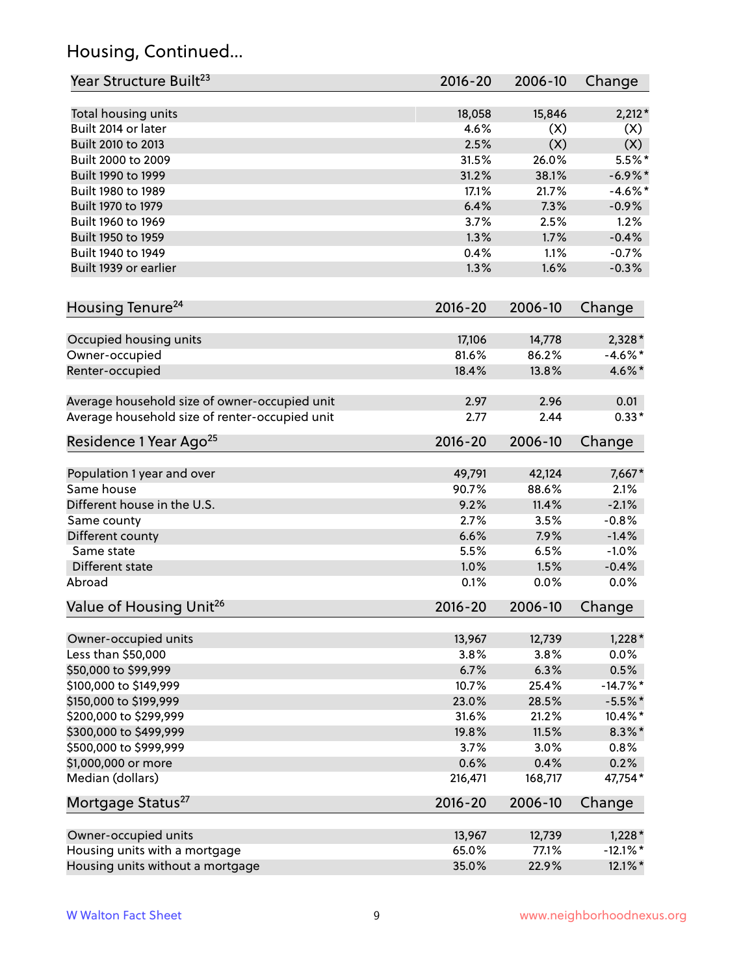## Housing, Continued...

| Year Structure Built <sup>23</sup>             | 2016-20     | 2006-10 | Change      |
|------------------------------------------------|-------------|---------|-------------|
| Total housing units                            | 18,058      | 15,846  | $2,212*$    |
| Built 2014 or later                            | 4.6%        | (X)     | (X)         |
| Built 2010 to 2013                             | 2.5%        | (X)     | (X)         |
| Built 2000 to 2009                             | 31.5%       | 26.0%   | $5.5%$ *    |
| Built 1990 to 1999                             | 31.2%       | 38.1%   | $-6.9\%$ *  |
| Built 1980 to 1989                             | 17.1%       | 21.7%   | $-4.6\%$ *  |
| Built 1970 to 1979                             | 6.4%        | 7.3%    | $-0.9%$     |
| Built 1960 to 1969                             | 3.7%        | 2.5%    | 1.2%        |
| Built 1950 to 1959                             | 1.3%        | 1.7%    | $-0.4%$     |
| Built 1940 to 1949                             | 0.4%        | 1.1%    | $-0.7%$     |
| Built 1939 or earlier                          | 1.3%        | 1.6%    | $-0.3%$     |
|                                                |             |         |             |
| Housing Tenure <sup>24</sup>                   | $2016 - 20$ | 2006-10 | Change      |
| Occupied housing units                         | 17,106      | 14,778  | 2,328 *     |
| Owner-occupied                                 | 81.6%       | 86.2%   | $-4.6\%$ *  |
| Renter-occupied                                | 18.4%       | 13.8%   | 4.6%*       |
| Average household size of owner-occupied unit  | 2.97        | 2.96    | 0.01        |
| Average household size of renter-occupied unit | 2.77        | 2.44    | $0.33*$     |
| Residence 1 Year Ago <sup>25</sup>             | 2016-20     | 2006-10 | Change      |
|                                                |             |         |             |
| Population 1 year and over                     | 49,791      | 42,124  | 7,667*      |
| Same house                                     | 90.7%       | 88.6%   | 2.1%        |
| Different house in the U.S.                    | 9.2%        | 11.4%   | $-2.1%$     |
| Same county                                    | 2.7%        | 3.5%    | $-0.8%$     |
| Different county                               | 6.6%        | 7.9%    | $-1.4%$     |
| Same state                                     | 5.5%        | 6.5%    | $-1.0%$     |
| Different state                                | 1.0%        | 1.5%    | $-0.4%$     |
| Abroad                                         | 0.1%        | 0.0%    | 0.0%        |
| Value of Housing Unit <sup>26</sup>            | $2016 - 20$ | 2006-10 | Change      |
| Owner-occupied units                           | 13,967      | 12,739  | $1,228*$    |
| Less than \$50,000                             | 3.8%        | 3.8%    | 0.0%        |
| \$50,000 to \$99,999                           | 6.7%        | 6.3%    | 0.5%        |
| \$100,000 to \$149,999                         | 10.7%       | 25.4%   | $-14.7\%$ * |
| \$150,000 to \$199,999                         | 23.0%       | 28.5%   | $-5.5%$ *   |
| \$200,000 to \$299,999                         | 31.6%       | 21.2%   | 10.4%*      |
| \$300,000 to \$499,999                         | 19.8%       | 11.5%   | $8.3\%$ *   |
| \$500,000 to \$999,999                         | 3.7%        | 3.0%    | 0.8%        |
| \$1,000,000 or more                            | 0.6%        | 0.4%    | 0.2%        |
| Median (dollars)                               | 216,471     | 168,717 | 47,754*     |
| Mortgage Status <sup>27</sup>                  | 2016-20     | 2006-10 | Change      |
| Owner-occupied units                           | 13,967      | 12,739  | $1,228*$    |
| Housing units with a mortgage                  | 65.0%       | 77.1%   | $-12.1\%$ * |
| Housing units without a mortgage               | 35.0%       | 22.9%   | 12.1%*      |
|                                                |             |         |             |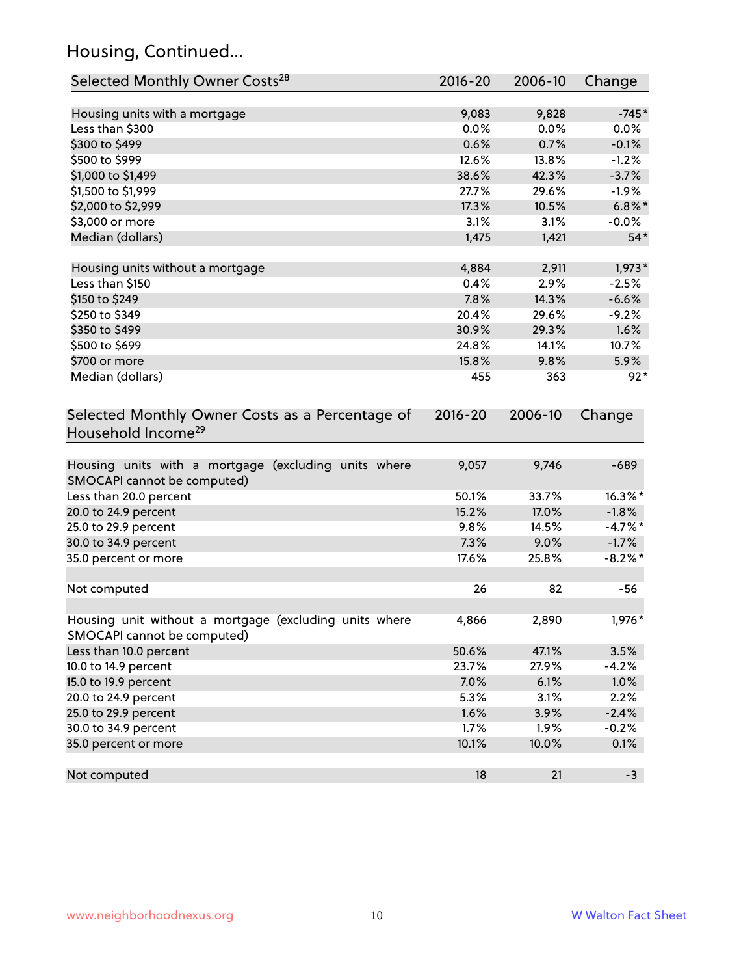## Housing, Continued...

| Selected Monthly Owner Costs <sup>28</sup>                                            | 2016-20     | 2006-10 | Change     |
|---------------------------------------------------------------------------------------|-------------|---------|------------|
| Housing units with a mortgage                                                         | 9,083       | 9,828   | $-745*$    |
| Less than \$300                                                                       | 0.0%        | 0.0%    | 0.0%       |
| \$300 to \$499                                                                        | 0.6%        | 0.7%    | $-0.1%$    |
| \$500 to \$999                                                                        | 12.6%       | 13.8%   | $-1.2%$    |
| \$1,000 to \$1,499                                                                    | 38.6%       | 42.3%   | $-3.7%$    |
| \$1,500 to \$1,999                                                                    | 27.7%       | 29.6%   | $-1.9%$    |
| \$2,000 to \$2,999                                                                    | 17.3%       | 10.5%   | $6.8\%$ *  |
| \$3,000 or more                                                                       | 3.1%        | 3.1%    | $-0.0\%$   |
| Median (dollars)                                                                      | 1,475       | 1,421   | $54*$      |
| Housing units without a mortgage                                                      | 4,884       | 2,911   | $1,973*$   |
| Less than \$150                                                                       | 0.4%        | 2.9%    | $-2.5%$    |
| \$150 to \$249                                                                        | 7.8%        | 14.3%   | $-6.6%$    |
| \$250 to \$349                                                                        | 20.4%       | 29.6%   | $-9.2%$    |
| \$350 to \$499                                                                        | 30.9%       | 29.3%   | 1.6%       |
| \$500 to \$699                                                                        | 24.8%       | 14.1%   | 10.7%      |
| \$700 or more                                                                         | 15.8%       | 9.8%    | 5.9%       |
| Median (dollars)                                                                      | 455         | 363     | $92*$      |
| Selected Monthly Owner Costs as a Percentage of<br>Household Income <sup>29</sup>     | $2016 - 20$ | 2006-10 | Change     |
| Housing units with a mortgage (excluding units where<br>SMOCAPI cannot be computed)   | 9,057       | 9,746   | $-689$     |
| Less than 20.0 percent                                                                | 50.1%       | 33.7%   | 16.3%*     |
| 20.0 to 24.9 percent                                                                  | 15.2%       | 17.0%   | $-1.8%$    |
| 25.0 to 29.9 percent                                                                  | 9.8%        | 14.5%   | $-4.7\%$ * |
| 30.0 to 34.9 percent                                                                  | 7.3%        | 9.0%    | $-1.7%$    |
| 35.0 percent or more                                                                  | 17.6%       | 25.8%   | $-8.2\%$ * |
| Not computed                                                                          | 26          | 82      | $-56$      |
| Housing unit without a mortgage (excluding units where<br>SMOCAPI cannot be computed) | 4,866       | 2,890   | 1,976*     |
| Less than 10.0 percent                                                                | 50.6%       | 47.1%   | 3.5%       |
| 10.0 to 14.9 percent                                                                  | 23.7%       | 27.9%   | $-4.2%$    |
| 15.0 to 19.9 percent                                                                  | 7.0%        | 6.1%    | 1.0%       |
| 20.0 to 24.9 percent                                                                  | 5.3%        | 3.1%    | 2.2%       |
| 25.0 to 29.9 percent                                                                  | 1.6%        | 3.9%    | $-2.4%$    |
| 30.0 to 34.9 percent                                                                  | 1.7%        | 1.9%    | $-0.2%$    |
| 35.0 percent or more                                                                  | 10.1%       | 10.0%   | 0.1%       |
| Not computed                                                                          | 18          | 21      | $-3$       |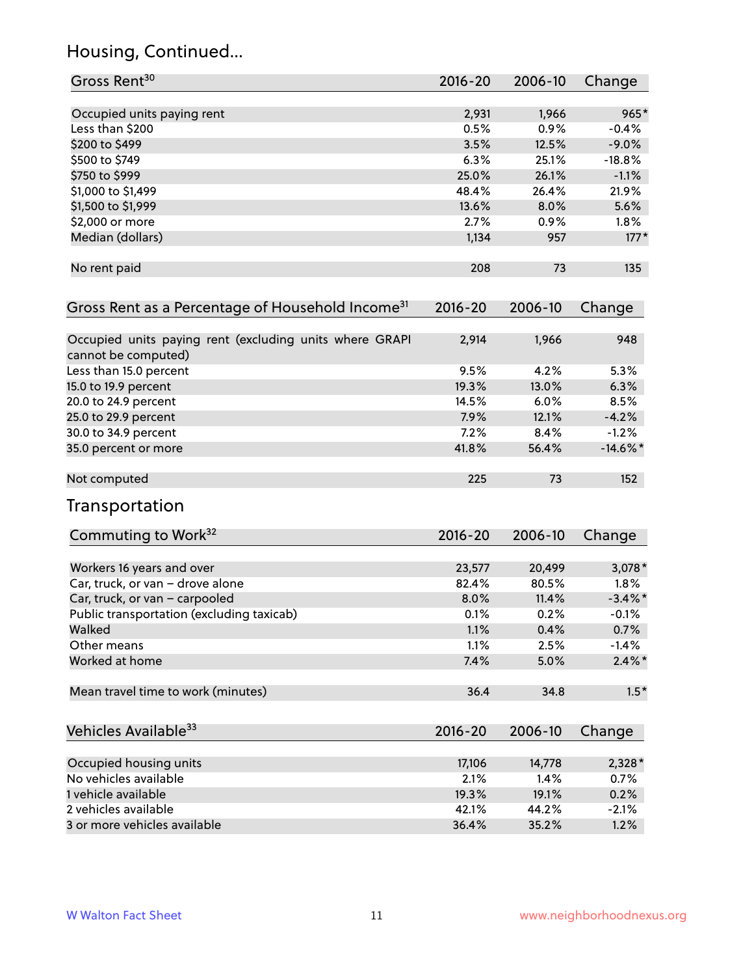## Housing, Continued...

| Gross Rent <sup>30</sup>                                                       | 2016-20 | 2006-10 | Change      |
|--------------------------------------------------------------------------------|---------|---------|-------------|
| Occupied units paying rent                                                     | 2,931   | 1,966   | $965*$      |
| Less than \$200                                                                | 0.5%    | 0.9%    | $-0.4%$     |
| \$200 to \$499                                                                 | 3.5%    | 12.5%   | $-9.0%$     |
| \$500 to \$749                                                                 | 6.3%    | 25.1%   | $-18.8%$    |
| \$750 to \$999                                                                 | 25.0%   | 26.1%   | $-1.1%$     |
| \$1,000 to \$1,499                                                             | 48.4%   | 26.4%   | 21.9%       |
| \$1,500 to \$1,999                                                             | 13.6%   | 8.0%    | 5.6%        |
| \$2,000 or more                                                                | 2.7%    | 0.9%    | $1.8\%$     |
| Median (dollars)                                                               | 1,134   | 957     | $177*$      |
| No rent paid                                                                   | 208     | 73      | 135         |
| Gross Rent as a Percentage of Household Income <sup>31</sup>                   | 2016-20 | 2006-10 | Change      |
| Occupied units paying rent (excluding units where GRAPI<br>cannot be computed) | 2,914   | 1,966   | 948         |
| Less than 15.0 percent                                                         | 9.5%    | 4.2%    | 5.3%        |
| 15.0 to 19.9 percent                                                           | 19.3%   | 13.0%   | 6.3%        |
| 20.0 to 24.9 percent                                                           | 14.5%   | 6.0%    | 8.5%        |
| 25.0 to 29.9 percent                                                           | 7.9%    | 12.1%   | $-4.2%$     |
| 30.0 to 34.9 percent                                                           | 7.2%    | 8.4%    | $-1.2%$     |
| 35.0 percent or more                                                           | 41.8%   | 56.4%   | $-14.6\%$ * |
| Not computed                                                                   | 225     | 73      | 152         |
| Transportation                                                                 |         |         |             |
| Commuting to Work <sup>32</sup>                                                | 2016-20 | 2006-10 | Change      |
| Workers 16 years and over                                                      | 23,577  | 20,499  | $3,078*$    |
| Car, truck, or van - drove alone                                               | 82.4%   | 80.5%   | 1.8%        |
| Car, truck, or van - carpooled                                                 | 8.0%    | 11.4%   | $-3.4\%$ *  |
| Public transportation (excluding taxicab)                                      | 0.1%    | 0.2%    | $-0.1%$     |
| Walked                                                                         | 1.1%    | 0.4%    | 0.7%        |
| Other means                                                                    | 1.1%    | 2.5%    | $-1.4%$     |
| Worked at home                                                                 | 7.4%    | 5.0%    | $2.4\%$ *   |
| Mean travel time to work (minutes)                                             | 36.4    | 34.8    | $1.5*$      |
| Vehicles Available <sup>33</sup>                                               | 2016-20 | 2006-10 | Change      |
| Occupied housing units                                                         | 17,106  | 14,778  | 2,328*      |
| No vehicles available                                                          | 2.1%    | 1.4%    | 0.7%        |
| 1 vehicle available                                                            | 19.3%   | 19.1%   | 0.2%        |
| 2 vehicles available                                                           | 42.1%   | 44.2%   | $-2.1%$     |
| 3 or more vehicles available                                                   | 36.4%   | 35.2%   | 1.2%        |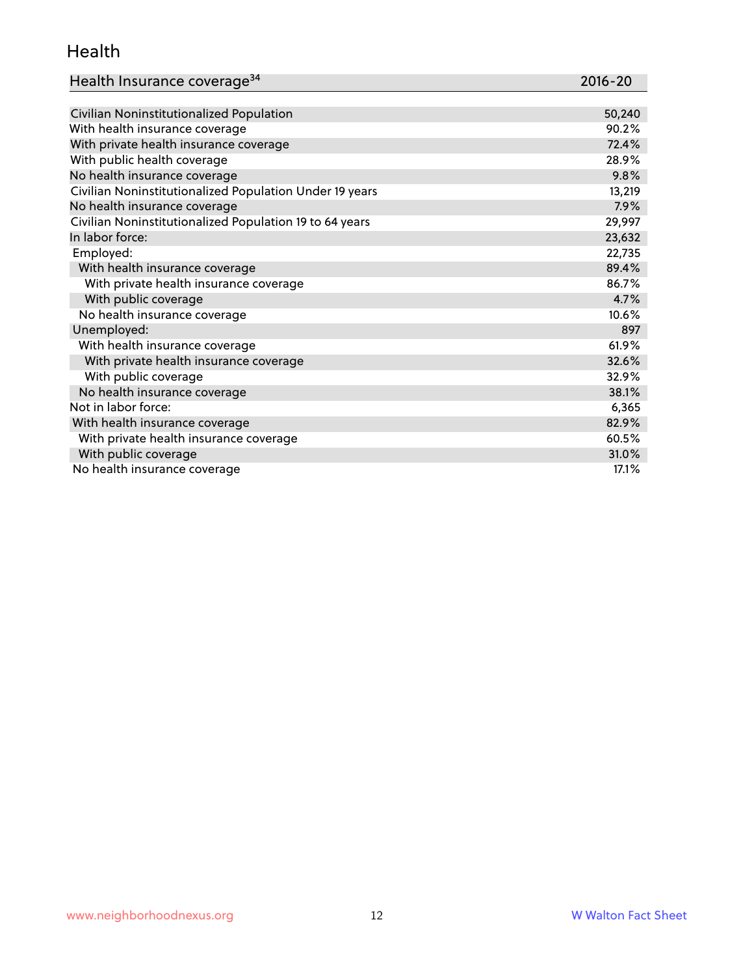#### Health

| Health Insurance coverage <sup>34</sup>                 | 2016-20 |
|---------------------------------------------------------|---------|
|                                                         |         |
| Civilian Noninstitutionalized Population                | 50,240  |
| With health insurance coverage                          | 90.2%   |
| With private health insurance coverage                  | 72.4%   |
| With public health coverage                             | 28.9%   |
| No health insurance coverage                            | 9.8%    |
| Civilian Noninstitutionalized Population Under 19 years | 13,219  |
| No health insurance coverage                            | 7.9%    |
| Civilian Noninstitutionalized Population 19 to 64 years | 29,997  |
| In labor force:                                         | 23,632  |
| Employed:                                               | 22,735  |
| With health insurance coverage                          | 89.4%   |
| With private health insurance coverage                  | 86.7%   |
| With public coverage                                    | 4.7%    |
| No health insurance coverage                            | 10.6%   |
| Unemployed:                                             | 897     |
| With health insurance coverage                          | 61.9%   |
| With private health insurance coverage                  | 32.6%   |
| With public coverage                                    | 32.9%   |
| No health insurance coverage                            | 38.1%   |
| Not in labor force:                                     | 6,365   |
| With health insurance coverage                          | 82.9%   |
| With private health insurance coverage                  | 60.5%   |
| With public coverage                                    | 31.0%   |
| No health insurance coverage                            | 17.1%   |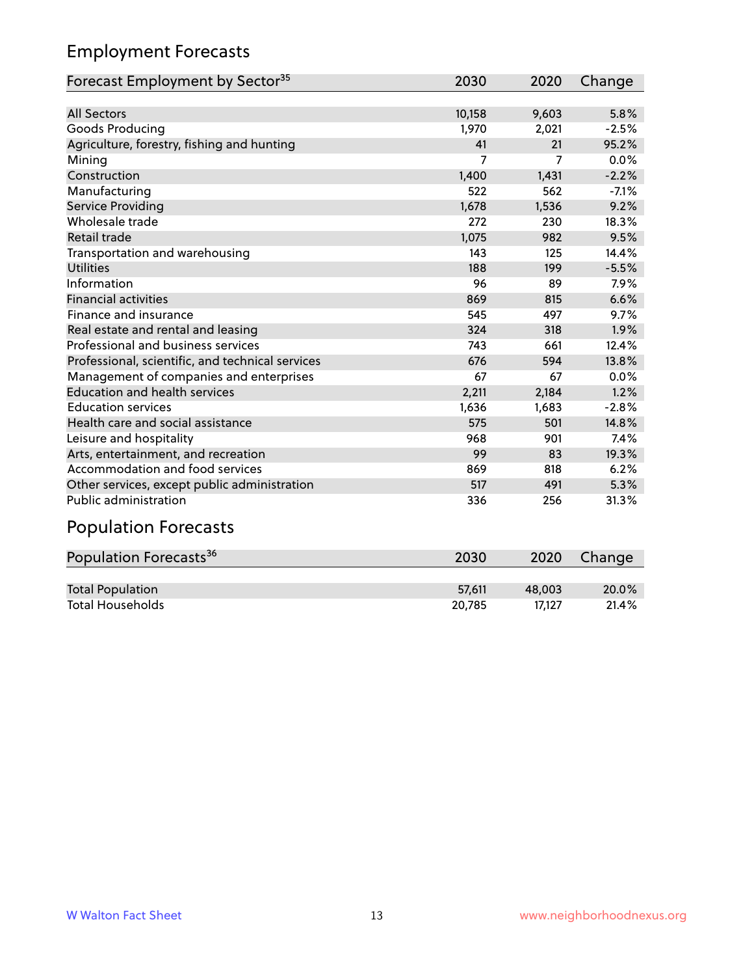## Employment Forecasts

| Forecast Employment by Sector <sup>35</sup>      | 2030   | 2020  | Change  |
|--------------------------------------------------|--------|-------|---------|
|                                                  |        |       |         |
| <b>All Sectors</b>                               | 10,158 | 9,603 | 5.8%    |
| Goods Producing                                  | 1,970  | 2,021 | $-2.5%$ |
| Agriculture, forestry, fishing and hunting       | 41     | 21    | 95.2%   |
| Mining                                           | 7      | 7     | 0.0%    |
| Construction                                     | 1,400  | 1,431 | $-2.2%$ |
| Manufacturing                                    | 522    | 562   | $-7.1%$ |
| Service Providing                                | 1,678  | 1,536 | 9.2%    |
| Wholesale trade                                  | 272    | 230   | 18.3%   |
| Retail trade                                     | 1,075  | 982   | 9.5%    |
| Transportation and warehousing                   | 143    | 125   | 14.4%   |
| <b>Utilities</b>                                 | 188    | 199   | $-5.5%$ |
| Information                                      | 96     | 89    | 7.9%    |
| <b>Financial activities</b>                      | 869    | 815   | 6.6%    |
| Finance and insurance                            | 545    | 497   | 9.7%    |
| Real estate and rental and leasing               | 324    | 318   | 1.9%    |
| Professional and business services               | 743    | 661   | 12.4%   |
| Professional, scientific, and technical services | 676    | 594   | 13.8%   |
| Management of companies and enterprises          | 67     | 67    | 0.0%    |
| <b>Education and health services</b>             | 2,211  | 2,184 | 1.2%    |
| <b>Education services</b>                        | 1,636  | 1,683 | $-2.8%$ |
| Health care and social assistance                | 575    | 501   | 14.8%   |
| Leisure and hospitality                          | 968    | 901   | 7.4%    |
| Arts, entertainment, and recreation              | 99     | 83    | 19.3%   |
| Accommodation and food services                  | 869    | 818   | 6.2%    |
| Other services, except public administration     | 517    | 491   | 5.3%    |
| Public administration                            | 336    | 256   | 31.3%   |

# Population Forecasts

| Population Forecasts <sup>36</sup> | 2030   | 2020   | Change |
|------------------------------------|--------|--------|--------|
|                                    |        |        |        |
| <b>Total Population</b>            | 57.611 | 48.003 | 20.0%  |
| <b>Total Households</b>            | 20.785 | 17.127 | 21.4%  |